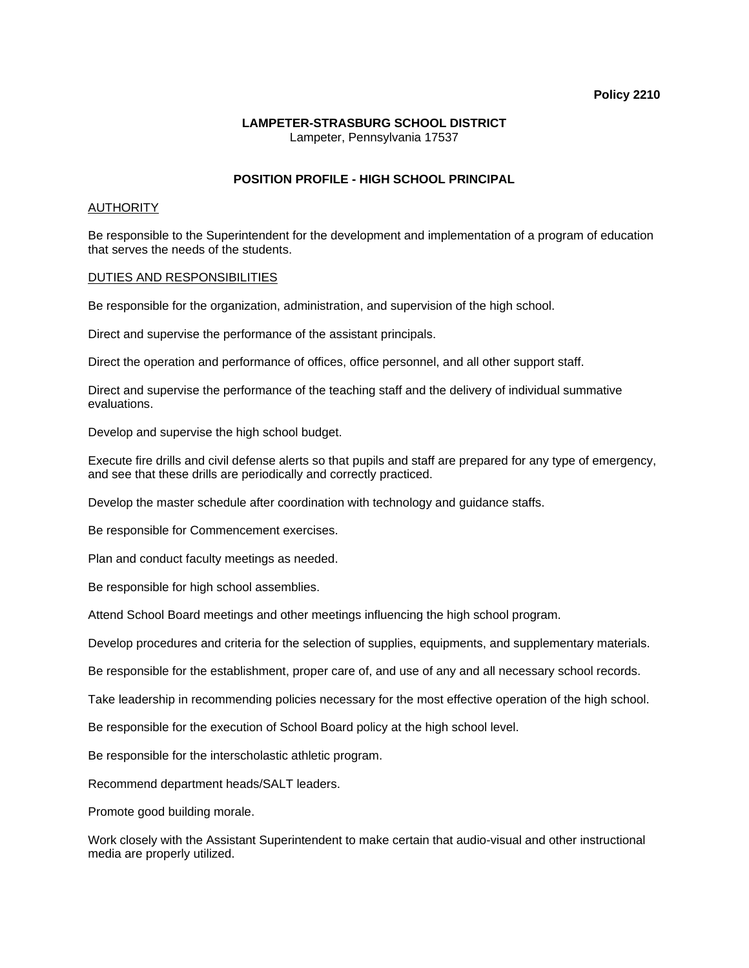#### **Policy 2210**

### **LAMPETER-STRASBURG SCHOOL DISTRICT**  Lampeter, Pennsylvania 17537

# **POSITION PROFILE - HIGH SCHOOL PRINCIPAL**

## AUTHORITY

Be responsible to the Superintendent for the development and implementation of a program of education that serves the needs of the students.

### DUTIES AND RESPONSIBILITIES

Be responsible for the organization, administration, and supervision of the high school.

Direct and supervise the performance of the assistant principals.

Direct the operation and performance of offices, office personnel, and all other support staff.

Direct and supervise the performance of the teaching staff and the delivery of individual summative evaluations.

Develop and supervise the high school budget.

Execute fire drills and civil defense alerts so that pupils and staff are prepared for any type of emergency, and see that these drills are periodically and correctly practiced.

Develop the master schedule after coordination with technology and guidance staffs.

Be responsible for Commencement exercises.

Plan and conduct faculty meetings as needed.

Be responsible for high school assemblies.

Attend School Board meetings and other meetings influencing the high school program.

Develop procedures and criteria for the selection of supplies, equipments, and supplementary materials.

Be responsible for the establishment, proper care of, and use of any and all necessary school records.

Take leadership in recommending policies necessary for the most effective operation of the high school.

Be responsible for the execution of School Board policy at the high school level.

Be responsible for the interscholastic athletic program.

Recommend department heads/SALT leaders.

Promote good building morale.

Work closely with the Assistant Superintendent to make certain that audio-visual and other instructional media are properly utilized.